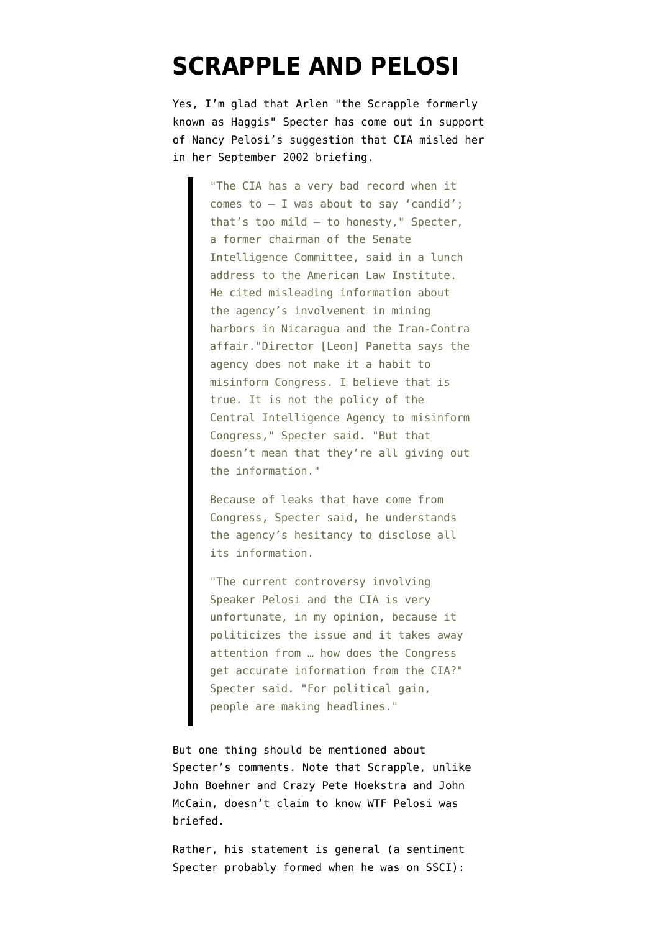## **[SCRAPPLE AND PELOSI](https://www.emptywheel.net/2009/05/20/scrapple-and-pelosi/)**

Yes, I'm glad that Arlen "the Scrapple formerly known as Haggis" Specter has [come out in support](http://thehill.com/leading-the-news/new-dem-specter-defends-pelosi-questions-cias-honesty-2009-05-20.html) of Nancy Pelosi's suggestion that CIA misled her in her September 2002 briefing.

> "The CIA has a very bad record when it comes to — I was about to say 'candid'; that's too mild — to honesty," Specter, a former chairman of the Senate Intelligence Committee, said in a lunch address to the American Law Institute. He cited misleading information about the agency's involvement in mining harbors in Nicaragua and the Iran-Contra affair."Director [Leon] Panetta says the agency does not make it a habit to misinform Congress. I believe that is true. It is not the policy of the Central Intelligence Agency to misinform Congress," Specter said. "But that doesn't mean that they're all giving out the information."

Because of leaks that have come from Congress, Specter said, he understands the agency's hesitancy to disclose all its information.

"The current controversy involving Speaker Pelosi and the CIA is very unfortunate, in my opinion, because it politicizes the issue and it takes away attention from … how does the Congress get accurate information from the CIA?" Specter said. "For political gain, people are making headlines."

But one thing should be mentioned about Specter's comments. Note that Scrapple, unlike John Boehner and Crazy Pete Hoekstra and John McCain, doesn't claim to know WTF Pelosi was briefed.

Rather, his statement is general (a sentiment Specter probably formed when he was on SSCI):